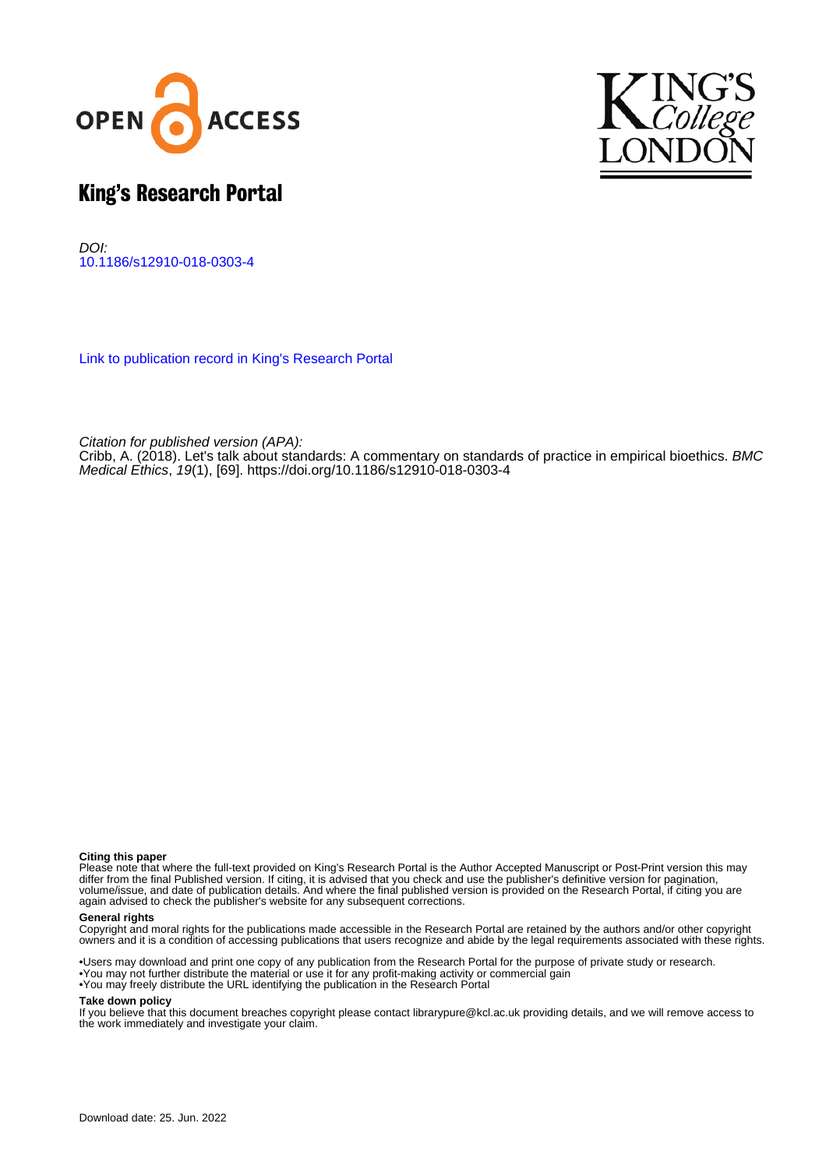



## King's Research Portal

DOI: [10.1186/s12910-018-0303-4](https://doi.org/10.1186/s12910-018-0303-4)

[Link to publication record in King's Research Portal](https://kclpure.kcl.ac.uk/portal/en/publications/lets-talk-about-standards(36c77c63-a5c9-4dcf-b535-cef6eeca183b).html)

Citation for published version (APA):

[Cribb, A.](/portal/alan.cribb.html) (2018). [Let's talk about standards: A commentary on standards of practice in empirical bioethics.](https://kclpure.kcl.ac.uk/portal/en/publications/lets-talk-about-standards(36c77c63-a5c9-4dcf-b535-cef6eeca183b).html) [BMC](https://kclpure.kcl.ac.uk/portal/en/journals/bmc-medical-ethics(a2a9ae81-734c-459a-b2be-8d7aeea42a3c).html) [Medical Ethics](https://kclpure.kcl.ac.uk/portal/en/journals/bmc-medical-ethics(a2a9ae81-734c-459a-b2be-8d7aeea42a3c).html), 19(1), [69].<https://doi.org/10.1186/s12910-018-0303-4>

#### **Citing this paper**

Please note that where the full-text provided on King's Research Portal is the Author Accepted Manuscript or Post-Print version this may differ from the final Published version. If citing, it is advised that you check and use the publisher's definitive version for pagination, volume/issue, and date of publication details. And where the final published version is provided on the Research Portal, if citing you are again advised to check the publisher's website for any subsequent corrections.

#### **General rights**

Copyright and moral rights for the publications made accessible in the Research Portal are retained by the authors and/or other copyright owners and it is a condition of accessing publications that users recognize and abide by the legal requirements associated with these rights.

•Users may download and print one copy of any publication from the Research Portal for the purpose of private study or research. •You may not further distribute the material or use it for any profit-making activity or commercial gain •You may freely distribute the URL identifying the publication in the Research Portal

#### **Take down policy**

If you believe that this document breaches copyright please contact librarypure@kcl.ac.uk providing details, and we will remove access to the work immediately and investigate your claim.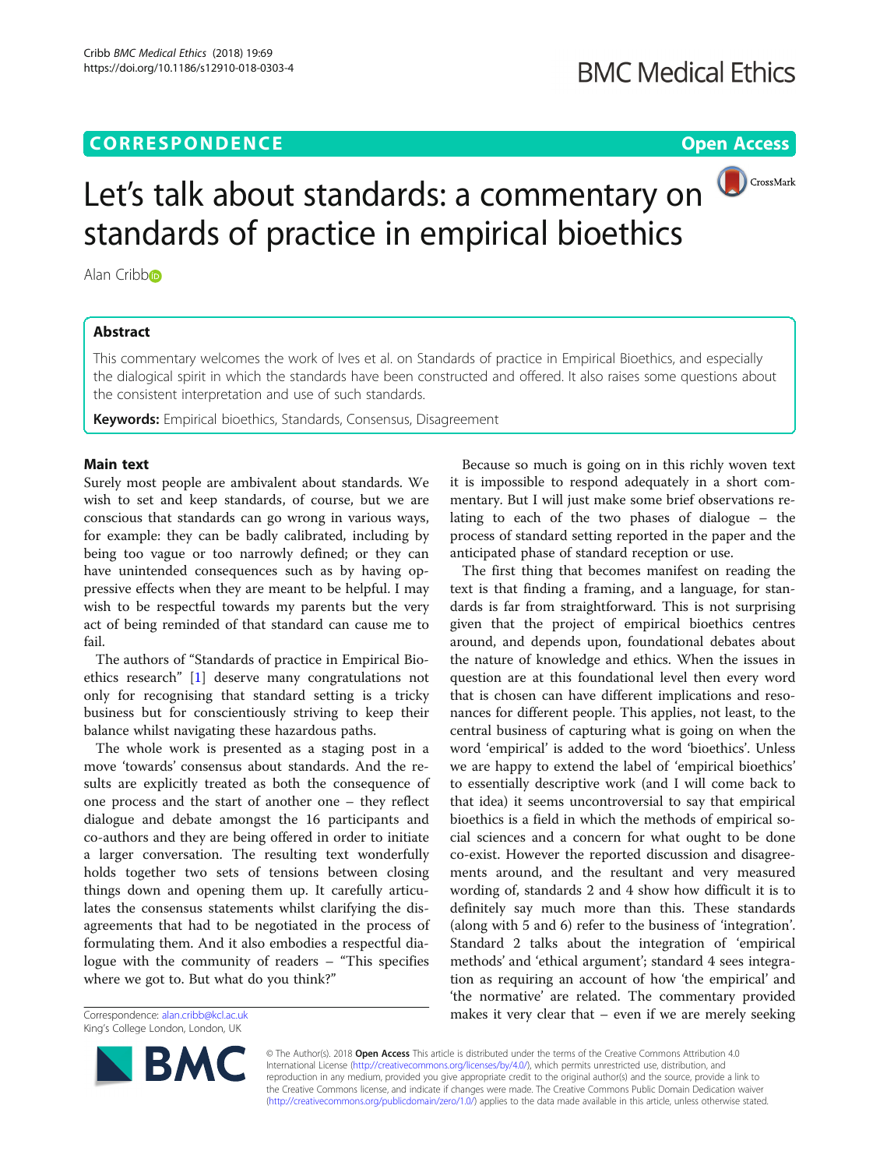### **CORRESPONDENCE CORRESPONDENCE** *CORRESPONDENCE*



# Let's talk about standards: a commentary on standards of practice in empirical bioethics

Alan Cribbo

#### Abstract

This commentary welcomes the work of Ives et al. on Standards of practice in Empirical Bioethics, and especially the dialogical spirit in which the standards have been constructed and offered. It also raises some questions about the consistent interpretation and use of such standards.

Keywords: Empirical bioethics, Standards, Consensus, Disagreement

#### Main text

Surely most people are ambivalent about standards. We wish to set and keep standards, of course, but we are conscious that standards can go wrong in various ways, for example: they can be badly calibrated, including by being too vague or too narrowly defined; or they can have unintended consequences such as by having oppressive effects when they are meant to be helpful. I may wish to be respectful towards my parents but the very act of being reminded of that standard can cause me to fail.

The authors of "Standards of practice in Empirical Bioethics research" [[1](#page-3-0)] deserve many congratulations not only for recognising that standard setting is a tricky business but for conscientiously striving to keep their balance whilst navigating these hazardous paths.

The whole work is presented as a staging post in a move 'towards' consensus about standards. And the results are explicitly treated as both the consequence of one process and the start of another one – they reflect dialogue and debate amongst the 16 participants and co-authors and they are being offered in order to initiate a larger conversation. The resulting text wonderfully holds together two sets of tensions between closing things down and opening them up. It carefully articulates the consensus statements whilst clarifying the disagreements that had to be negotiated in the process of formulating them. And it also embodies a respectful dialogue with the community of readers – "This specifies where we got to. But what do you think?"

King's College London, London, UK



Because so much is going on in this richly woven text it is impossible to respond adequately in a short commentary. But I will just make some brief observations relating to each of the two phases of dialogue – the process of standard setting reported in the paper and the anticipated phase of standard reception or use.

The first thing that becomes manifest on reading the text is that finding a framing, and a language, for standards is far from straightforward. This is not surprising given that the project of empirical bioethics centres around, and depends upon, foundational debates about the nature of knowledge and ethics. When the issues in question are at this foundational level then every word that is chosen can have different implications and resonances for different people. This applies, not least, to the central business of capturing what is going on when the word 'empirical' is added to the word 'bioethics'. Unless we are happy to extend the label of 'empirical bioethics' to essentially descriptive work (and I will come back to that idea) it seems uncontroversial to say that empirical bioethics is a field in which the methods of empirical social sciences and a concern for what ought to be done co-exist. However the reported discussion and disagreements around, and the resultant and very measured wording of, standards 2 and 4 show how difficult it is to definitely say much more than this. These standards (along with 5 and 6) refer to the business of 'integration'. Standard 2 talks about the integration of 'empirical methods' and 'ethical argument'; standard 4 sees integration as requiring an account of how 'the empirical' and 'the normative' are related. The commentary provided Correspondence: [alan.cribb@kcl.ac.uk](mailto:alan.cribb@kcl.ac.uk) makes it very clear that – even if we are merely seeking

> © The Author(s). 2018 **Open Access** This article is distributed under the terms of the Creative Commons Attribution 4.0 International License [\(http://creativecommons.org/licenses/by/4.0/](http://creativecommons.org/licenses/by/4.0/)), which permits unrestricted use, distribution, and reproduction in any medium, provided you give appropriate credit to the original author(s) and the source, provide a link to the Creative Commons license, and indicate if changes were made. The Creative Commons Public Domain Dedication waiver [\(http://creativecommons.org/publicdomain/zero/1.0/](http://creativecommons.org/publicdomain/zero/1.0/)) applies to the data made available in this article, unless otherwise stated.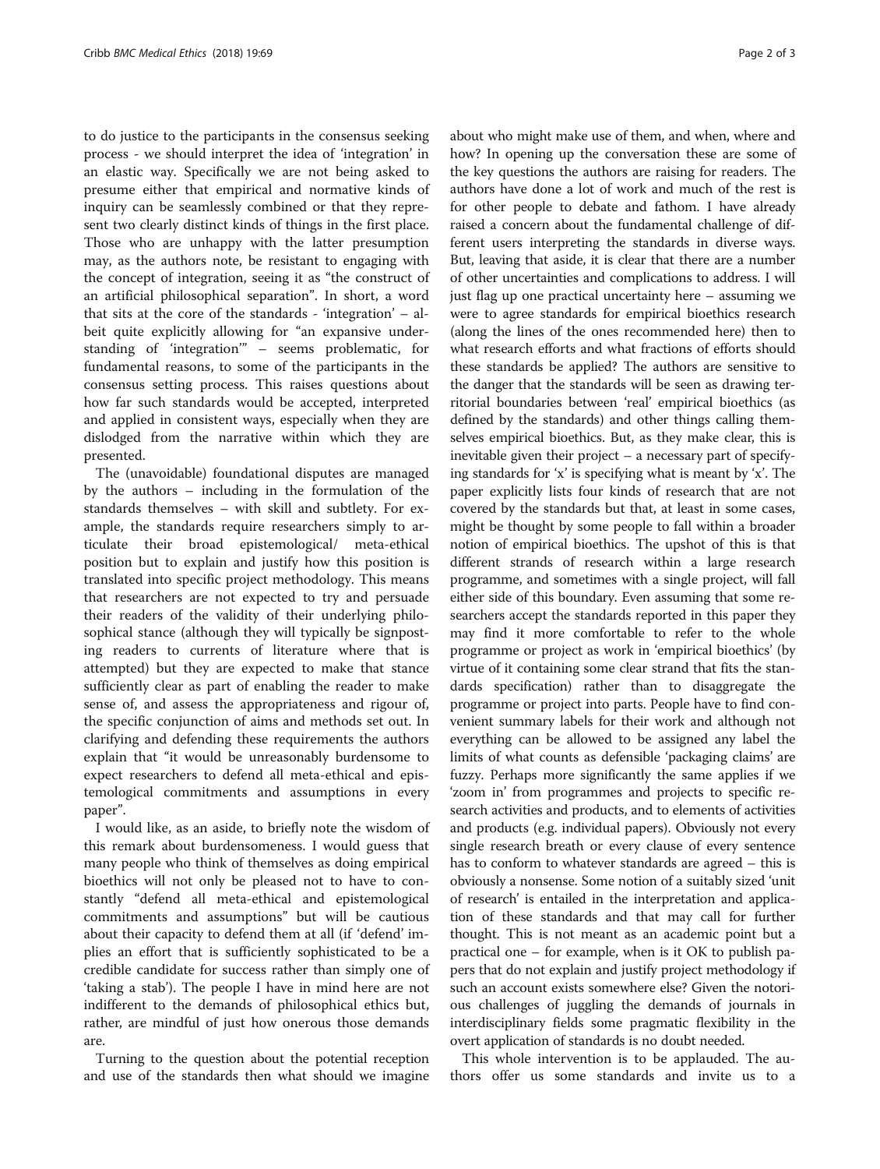to do justice to the participants in the consensus seeking process - we should interpret the idea of 'integration' in an elastic way. Specifically we are not being asked to presume either that empirical and normative kinds of inquiry can be seamlessly combined or that they represent two clearly distinct kinds of things in the first place. Those who are unhappy with the latter presumption may, as the authors note, be resistant to engaging with the concept of integration, seeing it as "the construct of an artificial philosophical separation". In short, a word that sits at the core of the standards - 'integration' – albeit quite explicitly allowing for "an expansive understanding of 'integration'" – seems problematic, for fundamental reasons, to some of the participants in the consensus setting process. This raises questions about how far such standards would be accepted, interpreted and applied in consistent ways, especially when they are dislodged from the narrative within which they are presented.

The (unavoidable) foundational disputes are managed by the authors – including in the formulation of the standards themselves – with skill and subtlety. For example, the standards require researchers simply to articulate their broad epistemological/ meta-ethical position but to explain and justify how this position is translated into specific project methodology. This means that researchers are not expected to try and persuade their readers of the validity of their underlying philosophical stance (although they will typically be signposting readers to currents of literature where that is attempted) but they are expected to make that stance sufficiently clear as part of enabling the reader to make sense of, and assess the appropriateness and rigour of, the specific conjunction of aims and methods set out. In clarifying and defending these requirements the authors explain that "it would be unreasonably burdensome to expect researchers to defend all meta-ethical and epistemological commitments and assumptions in every paper".

I would like, as an aside, to briefly note the wisdom of this remark about burdensomeness. I would guess that many people who think of themselves as doing empirical bioethics will not only be pleased not to have to constantly "defend all meta-ethical and epistemological commitments and assumptions" but will be cautious about their capacity to defend them at all (if 'defend' implies an effort that is sufficiently sophisticated to be a credible candidate for success rather than simply one of 'taking a stab'). The people I have in mind here are not indifferent to the demands of philosophical ethics but, rather, are mindful of just how onerous those demands are.

Turning to the question about the potential reception and use of the standards then what should we imagine

about who might make use of them, and when, where and how? In opening up the conversation these are some of the key questions the authors are raising for readers. The authors have done a lot of work and much of the rest is for other people to debate and fathom. I have already raised a concern about the fundamental challenge of different users interpreting the standards in diverse ways. But, leaving that aside, it is clear that there are a number of other uncertainties and complications to address. I will just flag up one practical uncertainty here – assuming we were to agree standards for empirical bioethics research (along the lines of the ones recommended here) then to what research efforts and what fractions of efforts should these standards be applied? The authors are sensitive to the danger that the standards will be seen as drawing territorial boundaries between 'real' empirical bioethics (as defined by the standards) and other things calling themselves empirical bioethics. But, as they make clear, this is inevitable given their project – a necessary part of specifying standards for 'x' is specifying what is meant by 'x'. The paper explicitly lists four kinds of research that are not covered by the standards but that, at least in some cases, might be thought by some people to fall within a broader notion of empirical bioethics. The upshot of this is that different strands of research within a large research programme, and sometimes with a single project, will fall either side of this boundary. Even assuming that some researchers accept the standards reported in this paper they may find it more comfortable to refer to the whole programme or project as work in 'empirical bioethics' (by virtue of it containing some clear strand that fits the standards specification) rather than to disaggregate the programme or project into parts. People have to find convenient summary labels for their work and although not everything can be allowed to be assigned any label the limits of what counts as defensible 'packaging claims' are fuzzy. Perhaps more significantly the same applies if we 'zoom in' from programmes and projects to specific research activities and products, and to elements of activities and products (e.g. individual papers). Obviously not every single research breath or every clause of every sentence has to conform to whatever standards are agreed – this is obviously a nonsense. Some notion of a suitably sized 'unit of research' is entailed in the interpretation and application of these standards and that may call for further thought. This is not meant as an academic point but a practical one – for example, when is it OK to publish papers that do not explain and justify project methodology if such an account exists somewhere else? Given the notorious challenges of juggling the demands of journals in interdisciplinary fields some pragmatic flexibility in the overt application of standards is no doubt needed.

This whole intervention is to be applauded. The authors offer us some standards and invite us to a